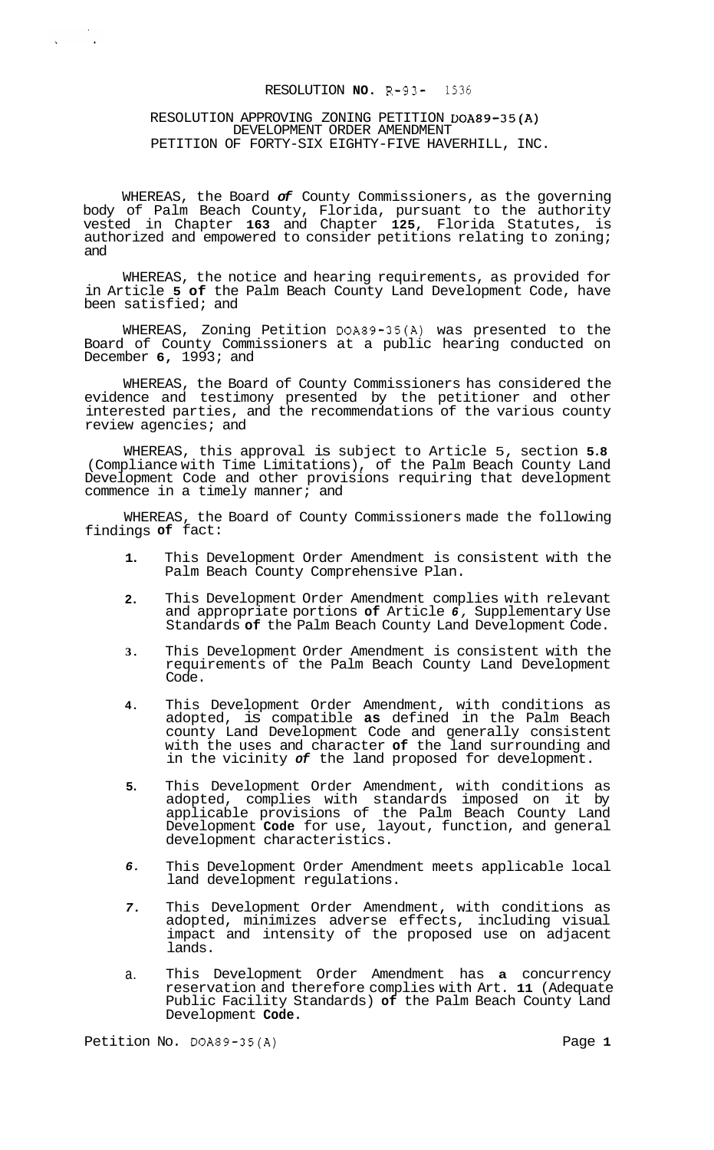# RESOLUTION **NO.** R-93- 1536

# RESOLUTION APPROVING ZONING PETITION DOA89-35(A) DEVELOPMENT ORDER AMENDMENT PETITION OF FORTY-SIX EIGHTY-FIVE HAVERHILL, INC.

 $\label{eq:2} \frac{1}{\sqrt{2\pi}}\left(\frac{1}{\sqrt{2\pi}}\right)^{1/2}$ 

WHEREAS, the Board *of* County Commissioners, as the governing body of Palm Beach County, Florida, pursuant to the authority vested in Chapter **163** and Chapter **125,** Florida Statutes, is authorized and empowered to consider petitions relating to zoning; and

WHEREAS, the notice and hearing requirements, as provided for in Article **5 of** the Palm Beach County Land Development Code, have been satisfied; and

WHEREAS, Zoning Petition DOA89-35(A) was presented to the Board of County Commissioners at a public hearing conducted on December **6,** 1993; and

WHEREAS, the Board of County Commissioners has considered the evidence and testimony presented by the petitioner and other interested parties, and the recommendations of the various county review agencies; and

WHEREAS, this approval is subject to Article 5, section **5.8**  (Compliance with Time Limitations), of the Palm Beach County Land Development Code and other provisions requiring that development commence in a timely manner; and

WHEREAS, the Board of County Commissioners made the following findings **of** fact:

- **1.**  This Development Order Amendment is consistent with the Palm Beach County Comprehensive Plan.
- **2.**  This Development Order Amendment complies with relevant and appropriate portions **of** Article *6,* Supplementary Use Standards **of** the Palm Beach County Land Development Code.
- **3.**  This Development Order Amendment is consistent with the requirements of the Palm Beach County Land Development Code.
- **4.**  This Development Order Amendment, with conditions as adopted, is compatible **as** defined in the Palm Beach county Land Development Code and generally consistent with the uses and character **of** the land surrounding and in the vicinity *of* the land proposed for development.
- **5.**  This Development Order Amendment, with conditions as adopted, complies with standards imposed on it by applicable provisions of the Palm Beach County Land Development **Code** for use, layout, function, and general development characteristics.
- *6.*  This Development Order Amendment meets applicable local land development regulations.
- *7.*  This Development Order Amendment, with conditions as adopted, minimizes adverse effects, including visual impact and intensity of the proposed use on adjacent lands.
- a. This Development Order Amendment has **a** concurrency reservation and therefore complies with Art. **11** (Adequate Public Facility Standards) **of** the Palm Beach County Land Development **Code.**

Petition No. DOA89-35(A) Petition No. 20089-35(A)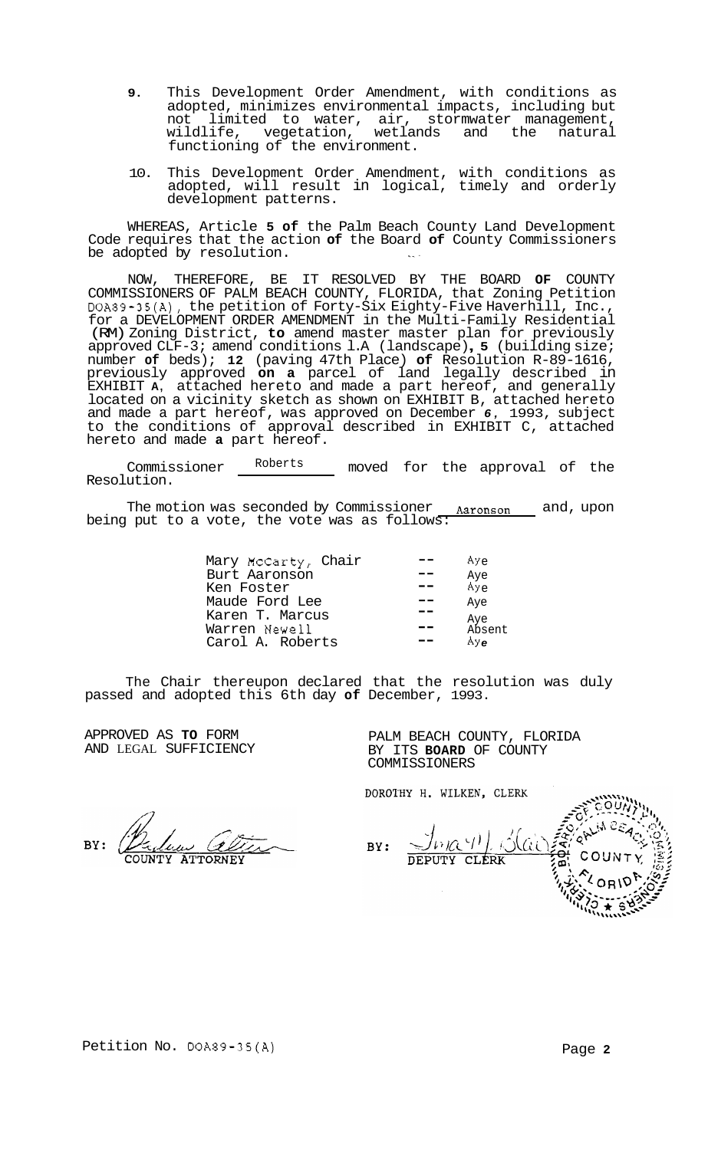- **9.** This Development Order Amendment, with conditions as adopted, minimizes environmental impacts, including but not limited to water, air, stormwater management, wildlife, vegetation, wetlands and the natural wildlife, vegetation, wetlar<br>functioning of the environment.
- 10. This Development Order Amendment, with conditions as adopted, will result in logical, timely and orderly development patterns.

WHEREAS, Article **5 of** the Palm Beach County Land Development Code requires that the action **of** the Board **of** County Commissioners be adopted by resolution.

NOW, THEREFORE, BE IT RESOLVED BY THE BOARD **OF** COUNTY COMMISSIONERS OF PALM BEACH COUNTY, FLORIDA, that Zoning Petition DOA89-35(A), the petition of Forty-Six Eighty-Five Haverhill, Inc., for a DEVELOPMENT ORDER AMENDMENT in the Multi-Family Residential (RM) Zoning District, **to** amend master master plan for previously approved CLF-3; amend conditions l.A (landscape) , **5** (building size; number **of** beds); **12** (paving 47th Place) **of** Resolution R-89-1616, previously approved **on a** parcel of land legally described in EXHIBIT **A,** attached hereto and made a part hereof, and generally located on a vicinity sketch as shown on EXHIBIT B, attached hereto and made a part hereof, was approved on December *6,* 1993, subject to the conditions of approval described in EXHIBIT C, attached hereto and made **a** part hereof.

Commissioner Roberts moved for the approval of the Resolution.

The motion was seconded by Commissioner <u>Aaronson a</u>nd, upon being put to a vote, the vote was as follows:

| Mary McCarty, Chair                                  | Aye                                |
|------------------------------------------------------|------------------------------------|
| Burt Aaronson                                        | Aye                                |
| Ken Foster                                           | $\overline{Ay}_e$                  |
| Maude Ford Lee                                       | Aye                                |
| Karen T. Marcus<br>Warren Newell<br>Carol A. Roberts | Aye<br>Absent<br>$AY_{\mathbf{A}}$ |

The Chair thereupon declared that the resolution was duly passed and adopted this 6th day **of** December, 1993.

APPROVED AS **TO** FORM AND LEGAL SUFFICIENCY PALM BEACH COUNTY, FLORIDA BY ITS **BOARD** OF COUNTY COMMISSIONERS

DOROTHY H. WILKEN, CLERK

BY: **ATTORNEY** 

 $J_{121}Q(4)$ BY: KAi **DEPUTY CLERK**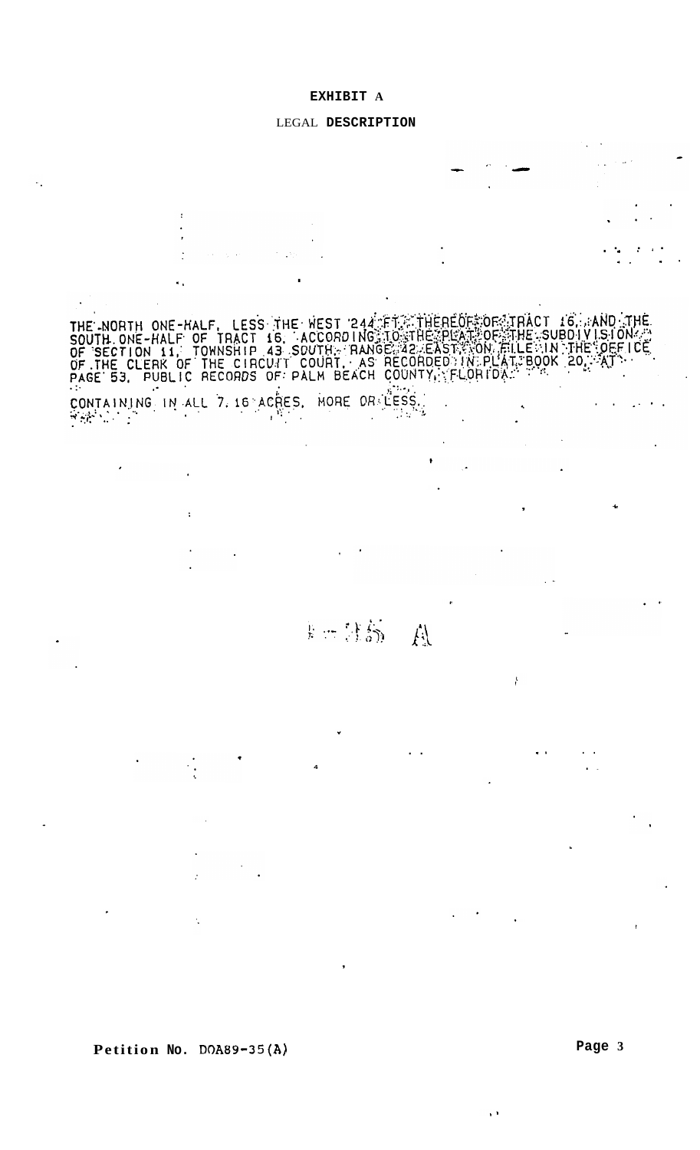## **EXHIBIT A**

# LEGAL **DESCRIPTION**



**Petition No. DOA89-35(A)** 

۱Ì,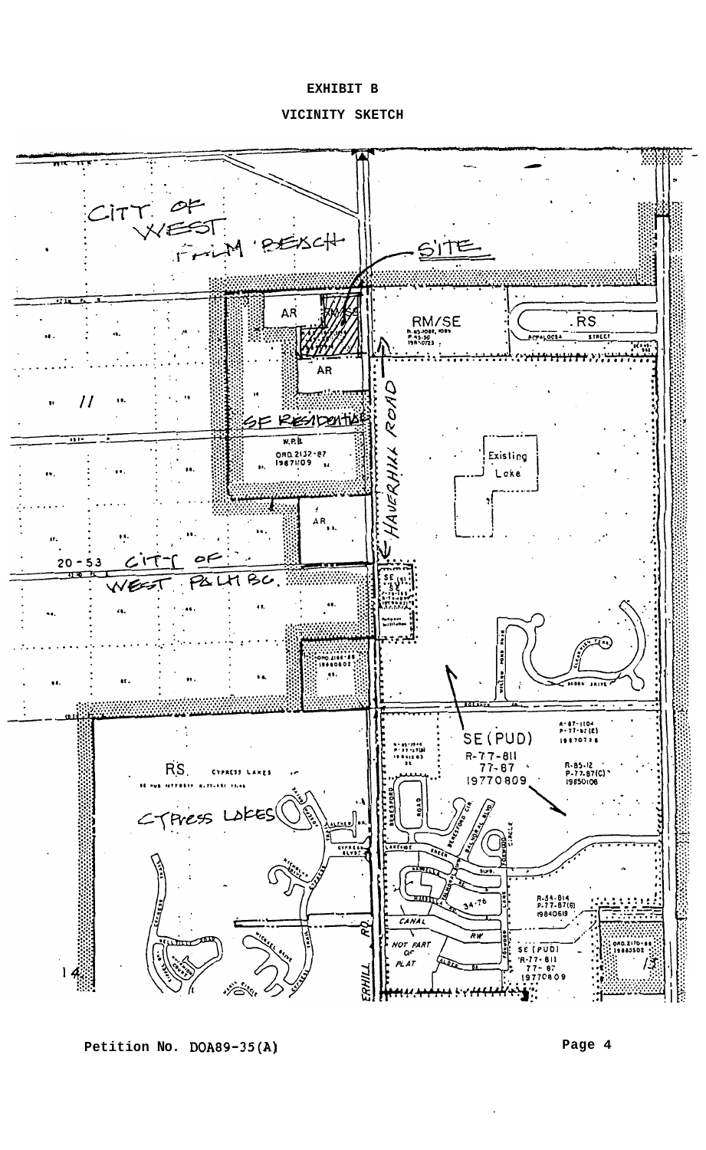# **EXHIBIT B**

**VICINITY SKETCH** 



**Petition No. DOA89-35(A)** 

**Page 4**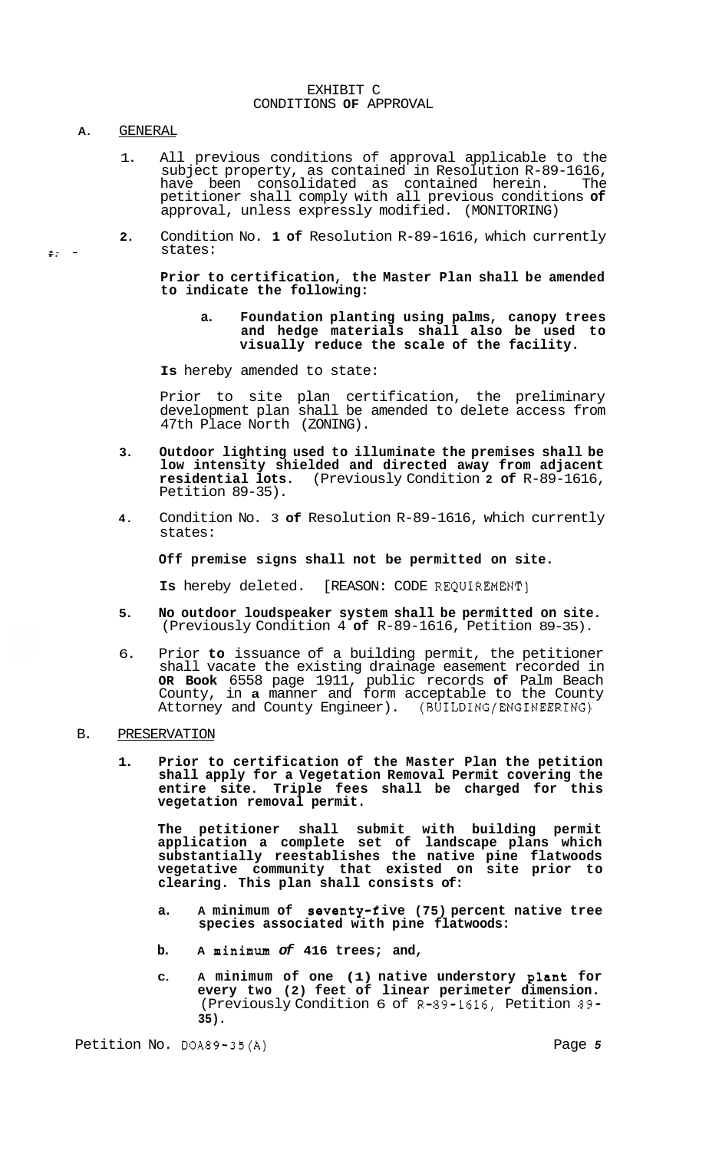#### EXHIBIT C CONDITIONS **OF** APPROVAL

## **A.** GENERAL

**FZ** -

- 1. All previous conditions of approval applicable to the subject property, as contained in Resolution R-89-1616,<br>have been consolidated as contained herein. The have been consolidated as contained herein. petitioner shall comply with all previous conditions **of**  approval, unless expressly modified. (MONITORING)
- **2.** Condition No. **1 of** Resolution R-89-1616, which currently states:

**Prior to certification, the Master Plan shall be amended to indicate the following:** 

**a. Foundation planting using palms, canopy trees and hedge materials shall also be used to visually reduce the scale of the facility.** 

**Is** hereby amended to state:

Prior to site plan certification, the preliminary development plan shall be amended to delete access from 47th Place North (ZONING).

- **3. Outdoor lighting used to illuminate the premises shall be low intensity shielded and directed away from adjacent residential lots.** (Previously Condition **2 of** R-89-1616, Petition 89-35).
- **4.** Condition No. 3 **of** Resolution R-89-1616, which currently states:

**Off premise signs shall not be permitted on site.** 

**Is** hereby deleted. [REASON: CODE REQUIREMENT]

- **5. No outdoor loudspeaker system shall be permitted on site.**  (Previously Condition 4 **of** R-89-1616, Petition 89-35).
- 6. Prior **to** issuance of a building permit, the petitioner shall vacate the existing drainage easement recorded in **OR Book** 6558 page 1911, public records **of** Palm Beach County, in **a** manner and form acceptable to the County Attorney and County Engineer). (BUILDING/ENGINEERING)

## B. PRESERVATION

**1. Prior to certification of the Master Plan the petition shall apply for a Vegetation Removal Permit covering the entire site. Triple fees shall be charged for this vegetation removal permit.** 

**The petitioner shall submit with building permit application a complete set of landscape plans which substantially reestablishes the native pine flatwoods vegetative community that existed on site prior to clearing. This plan shall consists of:** 

- **a. A minimum of seventy-f ive (75) percent native tree species associated with pine flatwoods:**
- **b. A minimum** *of* **416 trees; and,**
- **C. A minimum of one (1) native understory plant for every two (2) feet of linear perimeter dimension.**  (Previously Condition 6 of R-89-1616, Petition 89- **35).**

Petition No. DOA89-35(A) Petition No. Page 5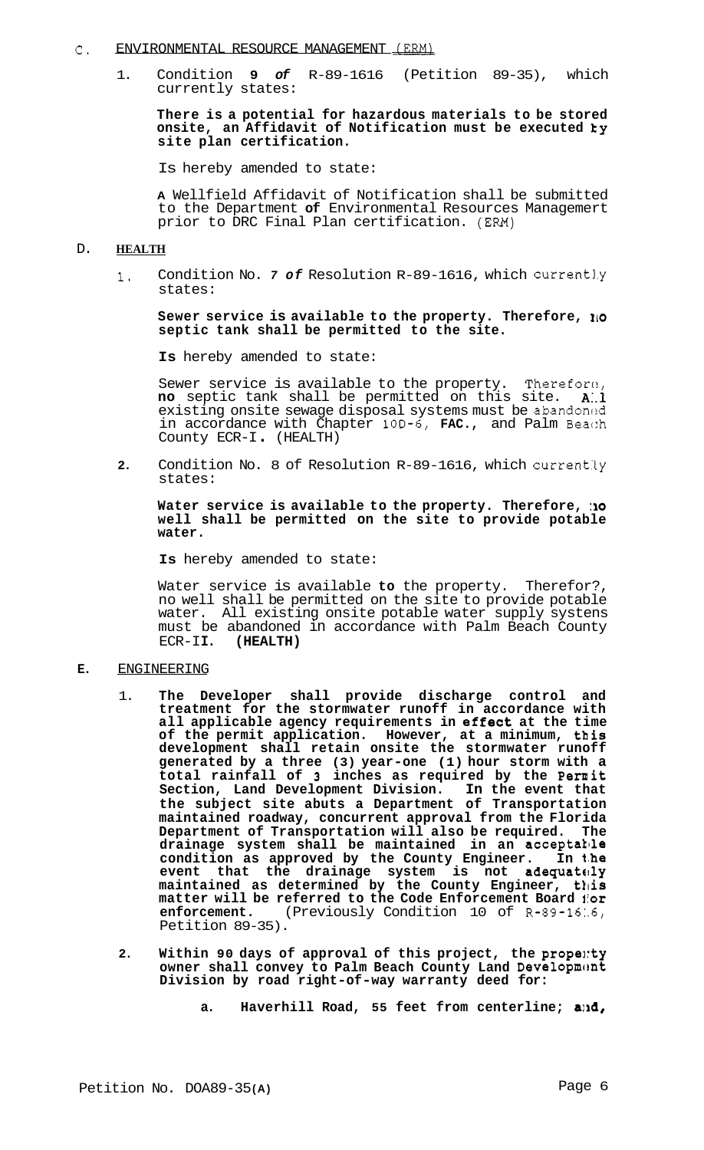#### C. ENVIRONMENTAL RESOURCE MANAGEMENT (ERM)

1. Condition **9** *of* R-89-1616 (Petition 89-35), which currently states:

**There is a potential for hazardous materials to be stored onsite, an Affidavit of Notification must be executed ky site plan certification.** 

Is hereby amended to state:

**A** Wellfield Affidavit of Notification shall be submitted to the Department **of** Environmental Resources Managemert prior to DRC Final Plan certification. **(EM)** 

### D. **HEALTH**

1. Condition No. 7 of Resolution R-89-1616, which currently states:

# **Sewer service is available to the property. Therefore, 110 septic tank shall be permitted to the site.**

**Is** hereby amended to state:

Sewer service is available to the property. Therefore, **no** septic tank shall be permitted on this site. A.l existing onsite sewage disposal systems must be abandoned in accordance with Chapter 10D-6, **FAC.,** and Palm Beac:h County ECR-I . (HEALTH)

2. Condition No. 8 of Resolution R-89-1616, which currently states:

# **Water service is available to the property. Therefore, :io well shall be permitted on the site to provide potable water.**

**Is** hereby amended to state:

Water service is available **to** the property. Therefor?, no well shall be permitted on the site to provide potable water. All existing onsite potable water supply systens must be abandoned in accordance with Palm Beach County ECR-II. (HEALTH) ECR-I **I. (HEALTH)** 

## **E.** ENGINEERING

- 1. **The Developer shall provide discharge control and treatment for the stormwater runoff in accordance with all applicable agency requirements in ef feet at the time of the permit application. However, at a minimum, this development shall retain onsite the stormwater runoff generated by a three (3) year-one (1) hour storm with a total rainfall of 3 inches as required by the Permit Section, Land Development Division. In the event that the subject site abuts a Department of Transportation maintained roadway, concurrent approval from the Florida**  Department of Transportation will also be required. **drainage system shall be maintained in an acceptallle condition as approved by the County Engineer. In t.he event that the drainage system is not adequatc!ly**  maintained as determined by the County Engineer, this **matter will be referred to the Code Enforcement Board** *i***or enforcement. (Previously Condition 10 of R-89-1616, (Previously Condition 10 of R-89-1616,** Petition 89-35).
- 2. Within 90 days of approval of this project, the propenty owner shall convey to Palm Beach County Land Development **Division by road right-of-way warranty deed for:**

a. Haverhill Road, 55 feet from centerline; and,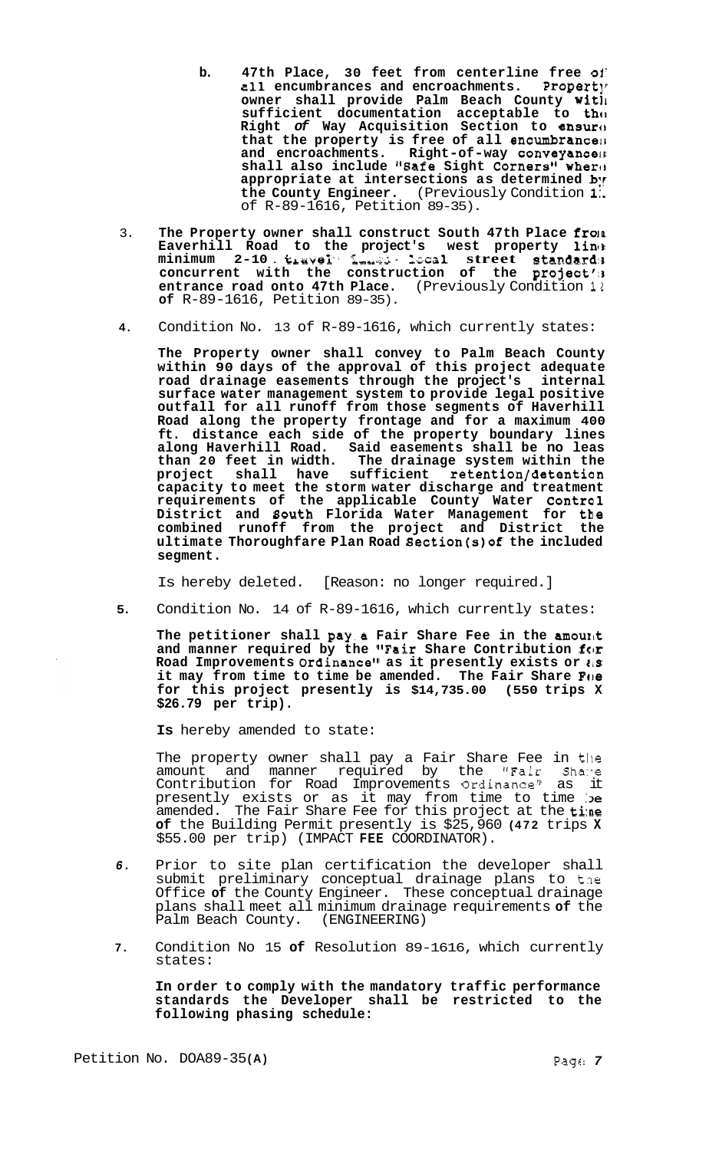- **b. 47th Place, 30 feet from centerline free 01'**  all encumbrances and encroachments. Property **owner shall provide Palm Beach County wit11**  sufficient documentation acceptable to tho **Right** *of* **Way Acquisition Section to ensuro that the property is free of all encumbrancelr**  and encroachments. Right-of-way conveyances shall also include "Safe Sight Corners" where **appropriate at intersections as determined** *br*  **the County Engineer.** (Previously Condition **1:**  of R-89-1616, Petition 89-35).
- 3. **The Property owner shall construct South 47th Place froin Eaverhill Road to the project's west property linlt minimum 2-10** . **ic~avei'. Lub;s** - **kca1 street strandardir concurrent with the construction of the project'13 entrance road onto 47th Place.** (Previously Condition 12 **of** R-89-1616, Petition 89-35).
- **4.** Condition No. 13 of R-89-1616, which currently states:

**The Property owner shall convey to Palm Beach County within 90 days of the approval of this project adequate road drainage easements through the project's internal surface water management system to provide legal positive outfall for all runoff from those segments of Haverhill Road along the property frontage and for a maximum 400 ft. distance each side of the property boundary lines along Haverhill Road. Said easements shall be no leas than 20 feet in width. The drainage system within the project shall have sufficient retention/detention capacity to meet the storm water discharge and treatment requirements of the applicable County Water Control District and Bouth Florida Water Management for the combined runoff from the project and District the ultimate Thoroughfare Plan Road Section(s)of the included segment.** 

Is hereby deleted. [Reason: no longer required.]

**5.** Condition No. 14 of R-89-1616, which currently states:

The petitioner shall pay a Fair Share Fee in the amount and manner required by the "Fair Share Contribution for **Road Improvements Ordinancegw as it presently exists or** *1,s*  it may from time to time be amended. The Fair Share **F**OE **for this project presently is \$14,735.00 (550 trips X \$26.79 per trip).** 

**Is** hereby amended to state:

The property owner shall pay a Fair Share Fee in the amount and manner required by the "Fair Shawe Contribution for Road Improvements Ordinance" as it presently exists or as it may from time to time be amended. The Fair Share Fee for this project at the tine **of** the Building Permit presently is \$25,960 **(472** trips **X**  \$55.00 per trip) (IMPACT **FEE** COORDINATOR).

- *6.* Prior to site plan certification the developer shall submit preliminary conceptual drainage plans to tne Office **of** the County Engineer. These conceptual drainage plans shall meet all minimum drainage requirements **of** the Palm Beach County. (ENGINEERING)
- **7.** Condition No 15 **of** Resolution 89-1616, which currently states:

**In order to comply with the mandatory traffic performance standards the Developer shall be restricted to the following phasing schedule:**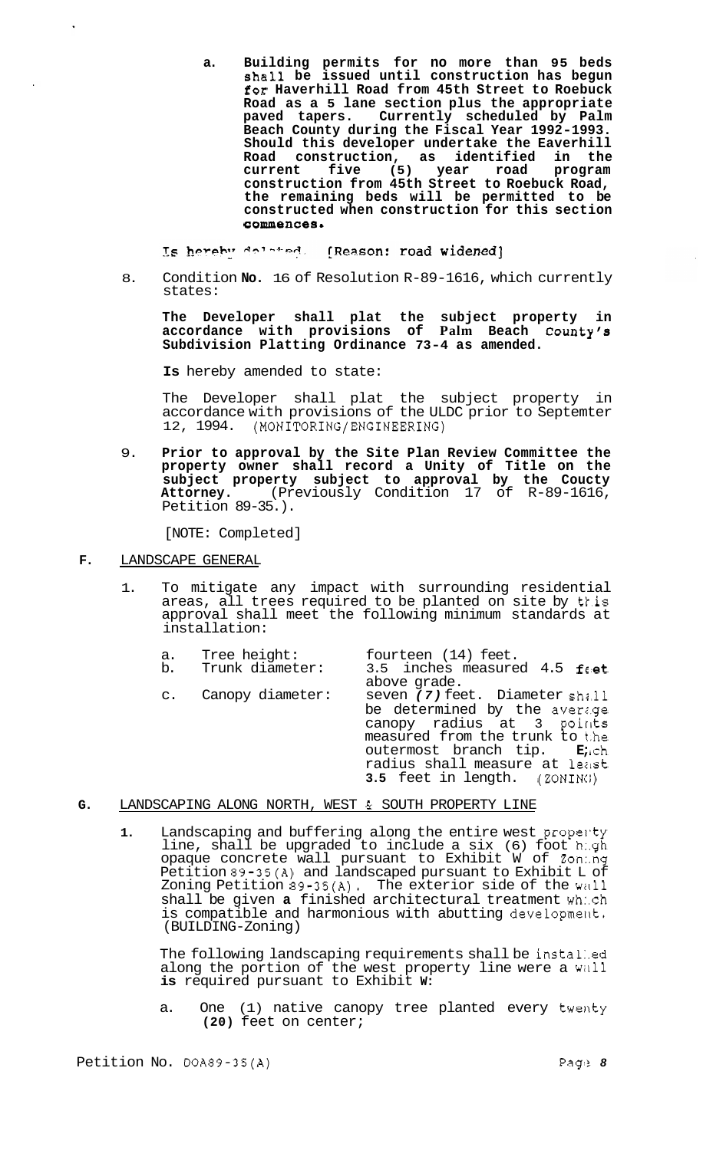**a. Building permits for no more than 95 beds shall be issued until construction has begun for Haverhill Road from 45th Street to Roebuck Road as a 5 lane section plus the appropriate**  Currently scheduled by Palm **Beach County during the Fiscal Year 1992-1993. Should this developer undertake the Eaverhill Road construction, as identified in the current five (5) year road program construction from 45th Street to Roebuck Road, the remaining beds will be permitted to be constructed when construction for this section**  commences.

Is hereby delated. (Reason: road widened)

8. Condition **No.** 16 of Resolution R-89-1616, which currently states:

**The Developer shall plat the subject property in accordance with provisions of Palm Beach County's Subdivision Platting Ordinance 73-4 as amended.** 

**Is** hereby amended to state:

The Developer shall plat the subject property in accordance with provisions of the ULDC prior to Septemter 12, 1994. **(MONITORING/ENGINEERING)** 

9. **Prior to approval by the Site Plan Review Committee the property owner shall record a Unity of Title on the subject property subject to approval by the Coucty Attorney.** (Previously Condition 17 of R-89-1616, Petition 89-35.).

[NOTE: Completed]

- **F.** LANDSCAPE GENERAL
	- 1. To mitigate any impact with surrounding residential areas, all trees required to be planted on site by tfis approval shall meet the following minimum standards at installation:
		- a. Tree height: fourteen (14) feet.<br>b. Trunk diameter: 3.5 inches measure b. Trunk diameter:  $3.5$  inches measured 4.5 feet above grade. c. Canopy diameter: seven *(7)* feet. Diameter shz.11 be determined by the average canopy radius at 3 poirlts measured from the trunk to the<br>outermost branch tip. Ench outermost branch tip. radius shall measure at leist **3.5** feet in length. (ZONINC;)
- **G.** LANDSCAPING ALONG NORTH, WEST *61* SOUTH PROPERTY LINE
	- 1. Landscaping and buffering along the entire west propenty line, shall be upgraded to include a six (6) foot h:.gh opaque concrete wall pursuant to Exhibit W of Zon:.ng Petition 89-35(A) and landscaped pursuant to Exhibit L of Zoning Petition  $89-35(A)$ . The exterior side of the wall shall be given **a** finished architectural treatment wh:.ch is compatible and harmonious with abutting development. (BUILDING-Zoning)

The following landscaping requirements shall be instal:.ed along the portion of the west property line were a wall **is** required pursuant to Exhibit **W:** 

a. One (1) native canopy tree planted every twenty **(20)** feet on center;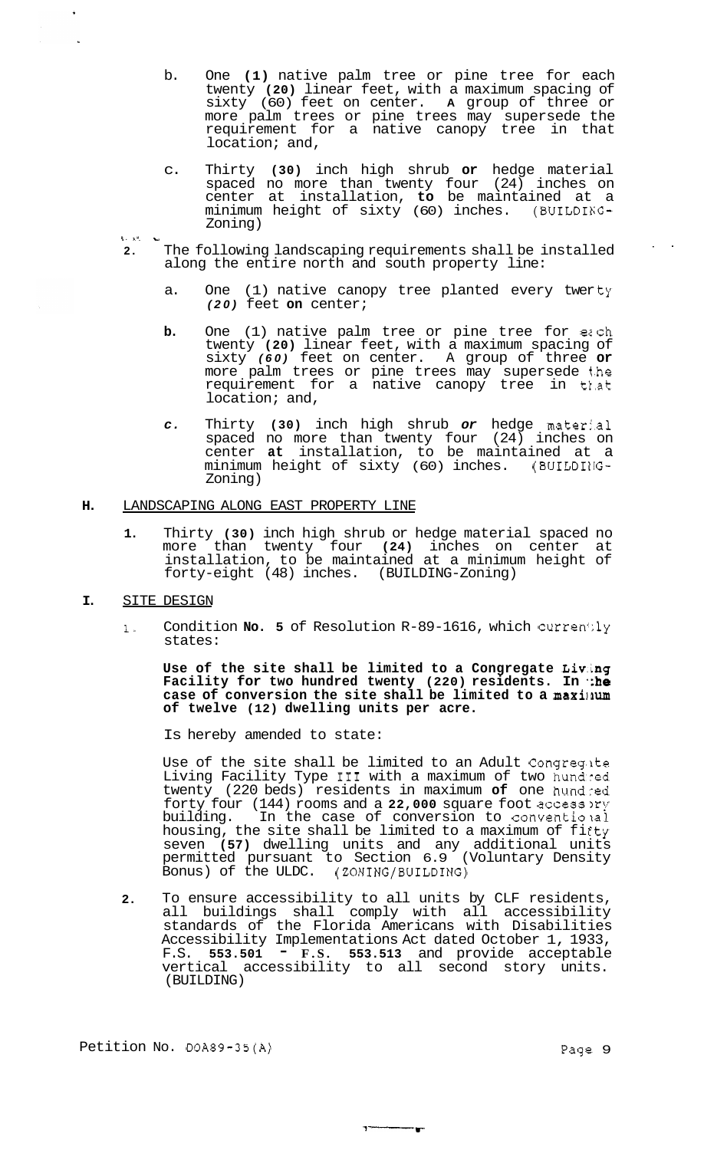- b. One **(1)** native palm tree or pine tree for each twenty **(20)** linear feet, with a maximum spacing of sixty (60) feet on center. **A** group of three or more palm trees or pine trees may supersede the requirement for a native canopy tree in that location; and,
- c. Thirty **(30)** inch high shrub **or** hedge material spaced no more than twenty four (24) inches on center at installation, **to** be maintained at a minimum height of sixty (60) inches. (BUILDING-Zoning) ! . **i-. <sup>u</sup>**
- 

 $\mathcal{L}_{\mathbf{A}}$ 

- **2.** The following landscaping requirements shall be installed .. along the entire north and south property line:
	- a. One (1) native canopy tree planted every twerty *(20)* feet **on** center;
	- **b.** One (1) native palm tree or pine tree for each twenty **(20)** linear feet, with a maximum spacing of sixty *(60)* feet on center. A group of three **or**  more palm trees or pine trees may supersede t.he requirement for a native canopy tree in tl.at location; and,
	- *c.* Thirty **(30)** inch high shrub *or* hedge materi.al spaced no more than twenty four (24) inches on center **at** installation, to be maintained at a minimum height of sixty (60) inches. (BUILDIIIG-Zoning)

# **H.** LANDSCAPING ALONG EAST PROPERTY LINE

**1.** Thirty **(30)** inch high shrub or hedge material spaced no more than twenty four **(24)** inches on center at installation, to be maintained at a minimum height of forty-eight (48) inches. (BUILDING-Zoning)

# I. SITE DESIGN

1. Condition **No. 5** of Resolution R-89-1616, which currently states:

**Use of the site shall be limited to a Congregate Liv.ing Facility for two hundred twenty (220) residents. In the case of conversion the site shall be limited to a maxilrum of twelve (12) dwelling units per acre.** 

Is hereby amended to state:

Use of the site shall be limited to an Adult Congreg.ite Living Facility Type I11 with a maximum of two hundred twenty (220 beds) residents in maximum **of** one hundred forty four (144) rooms and a 22,000 square foot access ory building. In the case of conversion to conventional In the case of conversion to conventional housing, the site shall be limited to a maximum of fifty seven **(57)** dwelling units and any additional units permitted pursuant to Section 6.9 (Voluntary Density Bonus) of the ULDC. (ZONING/BUILDING)

**2.** To ensure accessibility to all units by CLF residents, all buildings shall comply with all accessibility standards of the Florida Americans with Disabilities Accessibility Implementations Act dated October 1, 1933, F.S. **553.501** - **F.S. 553.513** and provide acceptable vertical accessibility to all second story units. (BUILDING)

 $\overline{\phantom{a}}$